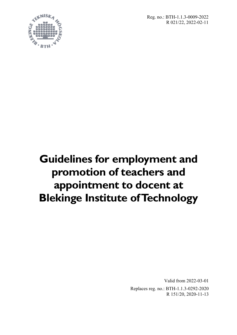Reg. no.: BTH-1.1.3-0009-2022 R 021/22, 2022-02-11



# **Guidelines for employment and promotion of teachers and appointment to docent at Blekinge Institute of Technology**

Valid from 2022-03-01

Replaces reg. no.: BTH-1.1.3-0292-2020 R 151/20, 2020-11-13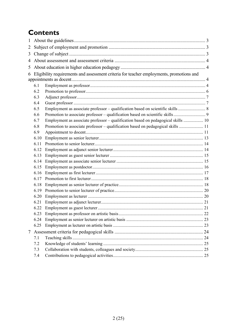## **Contents**

| $\mathbf{1}$ |                                                                                          |                                                                                   |  |  |
|--------------|------------------------------------------------------------------------------------------|-----------------------------------------------------------------------------------|--|--|
| 2            |                                                                                          |                                                                                   |  |  |
| 3            |                                                                                          |                                                                                   |  |  |
| 4            |                                                                                          |                                                                                   |  |  |
| 5            |                                                                                          |                                                                                   |  |  |
| 6            | Eligibility requirements and assessment criteria for teacher employments, promotions and |                                                                                   |  |  |
|              |                                                                                          |                                                                                   |  |  |
|              | 6.1                                                                                      |                                                                                   |  |  |
|              | 6.2                                                                                      |                                                                                   |  |  |
|              | 6.3                                                                                      |                                                                                   |  |  |
|              | 6.4                                                                                      |                                                                                   |  |  |
|              | 6.5                                                                                      | Employment as associate professor - qualification based on scientific skills  8   |  |  |
|              | 6.6                                                                                      |                                                                                   |  |  |
|              | 6.7                                                                                      | Employment as associate professor – qualification based on pedagogical skills  10 |  |  |
|              | 6.8                                                                                      | Promotion to associate professor – qualification based on pedagogical skills  11  |  |  |
|              | 6.9                                                                                      |                                                                                   |  |  |
|              | 6.10                                                                                     |                                                                                   |  |  |
|              | 6.11                                                                                     |                                                                                   |  |  |
|              | 6.12                                                                                     |                                                                                   |  |  |
|              | 6.13                                                                                     |                                                                                   |  |  |
|              | 6.14                                                                                     |                                                                                   |  |  |
|              | 6.15                                                                                     |                                                                                   |  |  |
|              | 6.16                                                                                     |                                                                                   |  |  |
|              | 6.17                                                                                     |                                                                                   |  |  |
|              | 6.18                                                                                     |                                                                                   |  |  |
|              | 6.19                                                                                     |                                                                                   |  |  |
|              | 6.20                                                                                     |                                                                                   |  |  |
|              | 6.21                                                                                     |                                                                                   |  |  |
|              | 6.22                                                                                     |                                                                                   |  |  |
|              |                                                                                          |                                                                                   |  |  |
|              | 6.24                                                                                     |                                                                                   |  |  |
|              | 6.25                                                                                     |                                                                                   |  |  |
| 7            |                                                                                          |                                                                                   |  |  |
|              | 7.1                                                                                      |                                                                                   |  |  |
|              | 7.2                                                                                      |                                                                                   |  |  |
|              | 7.3                                                                                      |                                                                                   |  |  |
|              | 7.4                                                                                      |                                                                                   |  |  |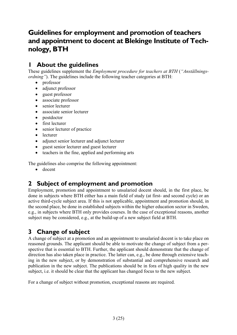### **Guidelines for employment and promotion of teachers and appointment to docent at Blekinge Institute of Technology, BTH**

### **1 About the guidelines**

These guidelines supplement the *Employment procedure for teachers at BTH* (*"Anställningsordning*"). The guidelines include the following teacher categories at BTH:

- professor
- adjunct professor
- guest professor
- associate professor
- senior lecturer
- associate senior lecturer
- postdoctor
- first lecturer
- senior lecturer of practice
- lecturer
- adjunct senior lecturer and adjunct lecturer
- guest senior lecturer and guest lecturer
- teachers in the fine, applied and performing arts

The guidelines also comprise the following appointment:

• docent

### **2 Subject of employment and promotion**

Employment, promotion and appointment to unsalaried docent should, in the first place, be done in subjects where BTH either has a main field of study (at first- and second cycle) or an active third-cycle subject area. If this is not applicable, appointment and promotion should, in the second place, be done in established subjects within the higher education sector in Sweden, e.g., in subjects where BTH only provides courses. In the case of exceptional reasons, another subject may be considered, e.g., at the build-up of a new subject field at BTH.

### **3 Change of subject**

A change of subject at a promotion and an appointment to unsalaried docent is to take place on reasoned grounds. The applicant should be able to motivate the change of subject from a perspective that is essential to BTH. Further, the applicant should demonstrate that the change of direction has also taken place in practice. The latter can, e.g., be done through extensive teaching in the new subject, or by demonstration of substantial and comprehensive research and publication in the new subject. The publications should be in fora of high quality in the new subject, i.e. it should be clear that the applicant has changed focus to the new subject.

For a change of subject without promotion, exceptional reasons are required.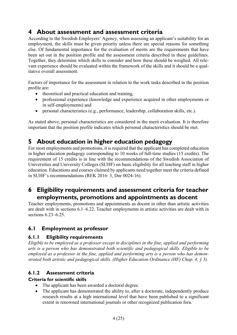### **4 About assessment and assessment criteria**

According to the Swedish Employers' Agency, when assessing an applicant's suitability for an employment, the skills must be given priority unless there are special reasons for something else. Of fundamental importance for the evaluation of merits are the requirements that have been set out in the position profile and the assessment criteria described in these guidelines. Together, they determine which skills to consider and how these should be weighed. All relevant experience should be evaluated within the framework of the skills and it should be a qualitative overall assessment.

Factors of importance for the assessment in relation to the work tasks described in the position profile are:

- theoretical and practical education and training,
- professional experience (knowledge and experience acquired in other employments or in self-employments) and
- personal characteristics (e.g., performance, leadership, collaboration skills, etc.).

As stated above, personal characteristics are considered in the merit evaluation. It is therefore important that the position profile indicates which personal characteristics should be met.

### **5 About education in higher education pedagogy**

For most employments and promotions, it is required that the applicant has completed education in higher education pedagogy corresponding to 10 weeks of full-time studies (15 credits). The requirement of 15 credits is in line with the recommendations of the Swedish Association of Universities and University Colleges (SUHF) on basic eligibility for all teaching staff in higher education. Educations and courses claimed by applicants need together meet the criteria defined in SUHF's recommendations (REK 2016: 3, Dnr 0024-16).

### **6 Eligibility requirements and assessment criteria for teacher employments, promotions and appointments as docent**

Teacher employments, promotions and appointments as docent in other than artistic activities are dealt with in sections 6.1–6.22. Teacher employments in artistic activities are dealt with in sections 6.23–6.25.

#### **6.1 Employment as professor**

#### **6.1.1 Eligibility requirements**

*Eligible to be employed as a professor except in disciplines in the fine, applied and performing arts is a person who has demonstrated both scientific and pedagogical skills. Eligible to be employed as a professor in the fine, applied and performing arts is a person who has demonstrated both artistic and pedagogical skills. (Higher Education Ordinance (HF) Chap. 4, § 3).* 

#### **6.1.2 Assessment criteria**

#### **Criteria for scientific skills**

- The applicant has been awarded a doctoral degree.
- The applicant has demonstrated the ability to, after a doctorate, independently produce research results at a high international level that have been published to a significant extent in renowned international journals or other recognized publication fora.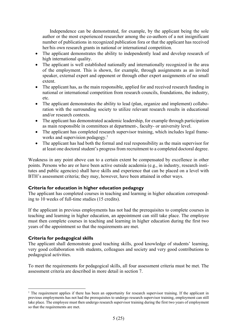Independence can be demonstrated, for example, by the applicant being the sole author or the most experienced researcher among the co-authors of a not insignificant number of publications in recognized publication fora or that the applicant has received her/his own research grants in national or international competition.

- The applicant demonstrates the ability to independently lead and develop research of high international quality.
- The applicant is well established nationally and internationally recognized in the area of the employment. This is shown, for example, through assignments as an invited speaker, external expert and opponent or through other expert assignments of no small extent.
- The applicant has, as the main responsible, applied for and received research funding in national or international competition from research councils, foundations, the industry, etc.
- The applicant demonstrates the ability to lead (plan, organize and implement) collaboration with the surrounding society to utilize relevant research results in educational and/or research contexts.
- The applicant has demonstrated academic leadership, for example through participation as main responsible in committees at department-, faculty- or university level.
- The applicant has completed research supervisor training, which includes legal frameworks and supervision pedagogy.<sup>1</sup>
- The applicant has had both the formal and real responsibility as the main supervisor for at least one doctoral student's progress from recruitment to a completed doctoral degree.

Weakness in any point above can to a certain extent be compensated by excellence in other points. Persons who are or have been active outside academia (e.g., in industry, research institutes and public agencies) shall have skills and experience that can be placed on a level with BTH's assessment criteria; they may, however, have been attained in other ways.

#### **Criteria for education in higher education pedagogy**

The applicant has completed courses in teaching and learning in higher education corresponding to 10 weeks of full-time studies (15 credits).

If the applicant in previous employments has not had the prerequisites to complete courses in teaching and learning in higher education, an appointment can still take place. The employee must then complete courses in teaching and learning in higher education during the first two years of the appointment so that the requirements are met.

#### **Criteria for pedagogical skills**

The applicant shall demonstrate good teaching skills, good knowledge of students' learning, very good collaboration with students, colleagues and society and very good contributions to pedagogical activities.

To meet the requirements for pedagogical skills, all four assessment criteria must be met. The assessment criteria are described in more detail in section 7.

<sup>&</sup>lt;sup>1</sup> The requirement applies if there has been an opportunity for research supervisor training. If the applicant in previous employments has not had the prerequisites to undergo research supervisor training, employment can still take place. The employee must then undergo research supervisor training during the first two years of employment so that the requirements are met.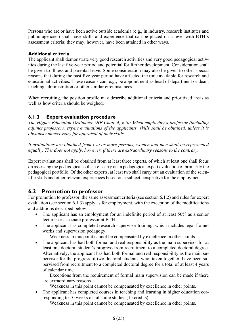Persons who are or have been active outside academia (e.g., in industry, research institutes and public agencies) shall have skills and experience that can be placed on a level with BTH's assessment criteria; they may, however, have been attained in other ways.

#### **Additional criteria**

The applicant shall demonstrate very good research activities and very good pedagogical activities during the last five-year period and potential for further development. Consideration shall be given to illness and parental leave. Some consideration may also be given to other special reasons that during the past five-year period have affected the time available for research and educational activities. These reasons can, e.g., be appointment as head of department or dean, teaching administration or other similar circumstances.

When recruiting, the position profile may describe additional criteria and prioritized areas as well as how criteria should be weighed.

#### **6.1.3 Expert evaluation procedure**

*The Higher Education Ordinance (HF Chap. 4, § 6): When employing a professor (including adjunct professor), expert evaluations of the applicants' skills shall be obtained, unless it is obviously unnecessary for appraisal of their skills.* 

*If evaluations are obtained from two or more persons, women and men shall be represented equally. This does not apply, however, if there are extraordinary reasons to the contrary.* 

Expert evaluations shall be obtained from at least three experts, of which at least one shall focus on assessing the pedagogical skills, i.e., carry out a pedagogical expert evaluation of primarily the pedagogical portfolio. Of the other experts, at least two shall carry out an evaluation of the scientific skills and other relevant experiences based on a subject perspective for the employment.

#### **6.2 Promotion to professor**

For promotion to professor, the same assessment criteria (see section 6.1.2) and rules for expert evaluation (see section 6.1.3) apply as for employment, with the exception of the modifications and additions described below:

- The applicant has an employment for an indefinite period of at least 50% as a senior lecturer or associate professor at BTH.
- The applicant has completed research supervisor training, which includes legal frameworks and supervision pedagogy.

Weakness in this point cannot be compensated by excellence in other points.

• The applicant has had both formal and real responsibility as the main supervisor for at least one doctoral student's progress from recruitment to a completed doctoral degree. Alternatively, the applicant has had both formal and real responsibility as the main supervisor for the progress of two doctoral students, who, taken together, have been supervised from recruitment to a completed doctoral degree for a total of at least 4 years of calendar time.

Exceptions from the requirement of formal main supervision can be made if there are extraordinary reasons.

Weakness in this point cannot be compensated by excellence in other points.

 The applicant has completed courses in teaching and learning in higher education corresponding to 10 weeks of full-time studies (15 credits).

Weakness in this point cannot be compensated by excellence in other points.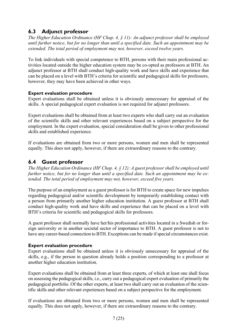### **6.3 Adjunct professor**

*The Higher Education Ordinance (HF Chap. 4, § 11): An adjunct professor shall be employed until further notice, but for no longer than until a specified date. Such an appointment may be extended. The total period of employment may not, however, exceed twelve years.* 

To link individuals with special competence to BTH, persons with their main professional activities located outside the higher education system may be co-opted as professors at BTH. An adjunct professor at BTH shall conduct high-quality work and have skills and experience that can be placed on a level with BTH's criteria for scientific and pedagogical skills for professors, however, they may have been achieved in other ways.

#### **Expert evaluation procedure**

Expert evaluations shall be obtained unless it is obviously unnecessary for appraisal of the skills. A special pedagogical expert evaluation is not required for adjunct professors.

Expert evaluations shall be obtained from at least two experts who shall carry out an evaluation of the scientific skills and other relevant experiences based on a subject perspective for the employment. In the expert evaluation, special consideration shall be given to other professional skills and established experience.

If evaluations are obtained from two or more persons, women and men shall be represented equally. This does not apply, however, if there are extraordinary reasons to the contrary.

#### **6.4 Guest professor**

*The Higher Education Ordinance (HF Chap. 4, § 12): A guest professor shall be employed until further notice, but for no longer than until a specified date. Such an appointment may be extended. The total period of employment may not, however, exceed five years.* 

The purpose of an employment as a guest professor is for BTH to create space for new impulses regarding pedagogical and/or scientific development by temporarily establishing contact with a person from primarily another higher education institution. A guest professor at BTH shall conduct high-quality work and have skills and experience that can be placed on a level with BTH's criteria for scientific and pedagogical skills for professors.

A guest professor shall normally have her/his professional activities located in a Swedish or foreign university or in another societal sector of importance to BTH. A guest professor is not to have any career-based connection to BTH. Exceptions can be made if special circumstances exist.

#### **Expert evaluation procedure**

Expert evaluations shall be obtained unless it is obviously unnecessary for appraisal of the skills, e.g., if the person in question already holds a position corresponding to a professor at another higher education institution.

Expert evaluations shall be obtained from at least three experts, of which at least one shall focus on assessing the pedagogical skills, i.e., carry out a pedagogical expert evaluation of primarily the pedagogical portfolio. Of the other experts, at least two shall carry out an evaluation of the scientific skills and other relevant experiences based on a subject perspective for the employment.

If evaluations are obtained from two or more persons, women and men shall be represented equally. This does not apply, however, if there are extraordinary reasons to the contrary.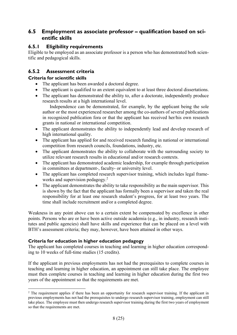#### **6.5 Employment as associate professor – qualification based on scientific skills**

#### **6.5.1 Eligibility requirements**

Eligible to be employed as an associate professor is a person who has demonstrated both scientific and pedagogical skills.

#### **6.5.2 Assessment criteria**

#### **Criteria for scientific skills**

- The applicant has been awarded a doctoral degree.
- The applicant is qualified to an extent equivalent to at least three doctoral dissertations.
- The applicant has demonstrated the ability to, after a doctorate, independently produce research results at a high international level.

Independence can be demonstrated, for example, by the applicant being the sole author or the most experienced researcher among the co-authors of several publications in recognized publication fora or that the applicant has received her/his own research grants in national or international competition.

- The applicant demonstrates the ability to independently lead and develop research of high international quality.
- The applicant has applied for and received research funding in national or international competition from research councils, foundations, industry, etc.
- The applicant demonstrates the ability to collaborate with the surrounding society to utilize relevant research results in educational and/or research contexts.
- The applicant has demonstrated academic leadership, for example through participation in committees at department-, faculty- or university level.
- The applicant has completed research supervisor training, which includes legal frameworks and supervision pedagogy.<sup>2</sup>
- The applicant demonstrates the ability to take responsibility as the main supervisor. This is shown by the fact that the applicant has formally been a supervisor and taken the real responsibility for at least one research student's progress, for at least two years. The time shall include recruitment and/or a completed degree.

Weakness in any point above can to a certain extent be compensated by excellence in other points. Persons who are or have been active outside academia (e.g., in industry, research institutes and public agencies) shall have skills and experience that can be placed on a level with BTH's assessment criteria; they may, however, have been attained in other ways.

#### **Criteria for education in higher education pedagogy**

The applicant has completed courses in teaching and learning in higher education corresponding to 10 weeks of full-time studies (15 credits).

If the applicant in previous employments has not had the prerequisites to complete courses in teaching and learning in higher education, an appointment can still take place. The employee must then complete courses in teaching and learning in higher education during the first two years of the appointment so that the requirements are met.

<sup>&</sup>lt;sup>2</sup> The requirement applies if there has been an opportunity for research supervisor training. If the applicant in previous employments has not had the prerequisites to undergo research supervisor training, employment can still take place. The employee must then undergo research supervisor training during the first two years of employment so that the requirements are met.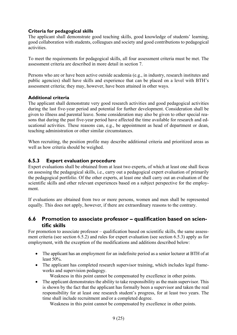#### **Criteria for pedagogical skills**

The applicant shall demonstrate good teaching skills, good knowledge of students' learning, good collaboration with students, colleagues and society and good contributions to pedagogical activities.

To meet the requirements for pedagogical skills, all four assessment criteria must be met. The assessment criteria are described in more detail in section 7.

Persons who are or have been active outside academia (e.g., in industry, research institutes and public agencies) shall have skills and experience that can be placed on a level with BTH's assessment criteria; they may, however, have been attained in other ways.

#### **Additional criteria**

The applicant shall demonstrate very good research activities and good pedagogical activities during the last five-year period and potential for further development. Consideration shall be given to illness and parental leave. Some consideration may also be given to other special reasons that during the past five-year period have affected the time available for research and educational activities. These reasons can, e.g., be appointment as head of department or dean, teaching administration or other similar circumstances.

When recruiting, the position profile may describe additional criteria and prioritized areas as well as how criteria should be weighed.

#### **6.5.3 Expert evaluation procedure**

Expert evaluations shall be obtained from at least two experts, of which at least one shall focus on assessing the pedagogical skills, i.e., carry out a pedagogical expert evaluation of primarily the pedagogical portfolio. Of the other experts, at least one shall carry out an evaluation of the scientific skills and other relevant experiences based on a subject perspective for the employment.

If evaluations are obtained from two or more persons, women and men shall be represented equally. This does not apply, however, if there are extraordinary reasons to the contrary.

#### **6.6 Promotion to associate professor – qualification based on scientific skills**

For promotion to associate professor – qualification based on scientific skills, the same assessment criteria (see section 6.5.2) and rules for expert evaluation (see section 6.5.3) apply as for employment, with the exception of the modifications and additions described below:

- The applicant has an employment for an indefinite period as a senior lecturer at BTH of at least 50%.
- The applicant has completed research supervisor training, which includes legal frameworks and supervision pedagogy.
	- Weakness in this point cannot be compensated by excellence in other points.
- The applicant demonstrates the ability to take responsibility as the main supervisor. This is shown by the fact that the applicant has formally been a supervisor and taken the real responsibility for at least one research student's progress, for at least two years. The time shall include recruitment and/or a completed degree.

Weakness in this point cannot be compensated by excellence in other points.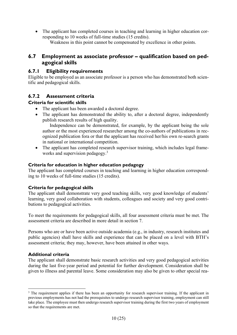The applicant has completed courses in teaching and learning in higher education corresponding to 10 weeks of full-time studies (15 credits). Weakness in this point cannot be compensated by excellence in other points.

#### **6.7 Employment as associate professor – qualification based on pedagogical skills**

#### **6.7.1 Eligibility requirements**

Eligible to be employed as an associate professor is a person who has demonstrated both scientific and pedagogical skills.

#### **6.7.2 Assessment criteria**

#### **Criteria for scientific skills**

- The applicant has been awarded a doctoral degree.
- The applicant has demonstrated the ability to, after a doctoral degree, independently publish research results of high quality.

Independence can be demonstrated, for example, by the applicant being the sole author or the most experienced researcher among the co-authors of publications in recognized publication fora or that the applicant has received her/his own re-search grants in national or international competition.

• The applicant has completed research supervisor training, which includes legal frameworks and supervision pedagogy.<sup>3</sup>

#### **Criteria for education in higher education pedagogy**

The applicant has completed courses in teaching and learning in higher education corresponding to 10 weeks of full-time studies (15 credits).

#### **Criteria for pedagogical skills**

The applicant shall demonstrate very good teaching skills, very good knowledge of students' learning, very good collaboration with students, colleagues and society and very good contributions to pedagogical activities.

To meet the requirements for pedagogical skills, all four assessment criteria must be met. The assessment criteria are described in more detail in section 7.

Persons who are or have been active outside academia (e.g., in industry, research institutes and public agencies) shall have skills and experience that can be placed on a level with BTH's assessment criteria; they may, however, have been attained in other ways.

#### **Additional criteria**

The applicant shall demonstrate basic research activities and very good pedagogical activities during the last five-year period and potential for further development. Consideration shall be given to illness and parental leave. Some consideration may also be given to other special rea-

<sup>&</sup>lt;sup>3</sup> The requirement applies if there has been an opportunity for research supervisor training. If the applicant in previous employments has not had the prerequisites to undergo research supervisor training, employment can still take place. The employee must then undergo research supervisor training during the first two years of employment so that the requirements are met.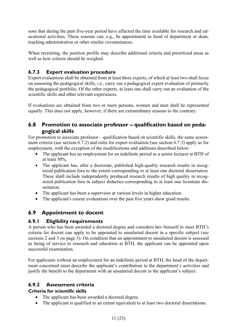sons that during the past five-year period have affected the time available for research and educational activities. These reasons can, e.g., be appointment as head of department or dean, teaching administration or other similar circumstances.

When recruiting, the position profile may describe additional criteria and prioritized areas as well as how criteria should be weighed.

#### **6.7.3 Expert evaluation procedure**

Expert evaluations shall be obtained from at least three experts, of which at least two shall focus on assessing the pedagogical skills, i.e., carry out a pedagogical expert evaluation of primarily the pedagogical portfolio. Of the other experts, at least one shall carry out an evaluation of the scientific skills and other relevant experiences.

If evaluations are obtained from two or more persons, women and men shall be represented equally. This does not apply, however, if there are extraordinary reasons to the contrary.

#### **6.8 Promotion to associate professor – qualification based on pedagogical skills**

For promotion to associate professor – qualification based on scientific skills, the same assessment criteria (see section 6.7.2) and rules for expert evaluation (see section 6.7.3) apply as for employment, with the exception of the modifications and additions described below:

- The applicant has an employment for an indefinite period as a senior lecturer at BTH of at least 50%.
- The applicant has, after a doctorate, published high-quality research results in recognized publication fora to the extent corresponding to at least one doctoral dissertation. These shall include independently produced research results of high quality in recognized publication fora in subject didactics corresponding to at least one licentiate dissertation.
- The applicant has been a supervisor at various levels in higher education.
- The applicant's course evaluations over the past five years show good results.

### **6.9 Appointment to docent**

#### **6.9.1 Eligibility requirements**

A person who has been awarded a doctoral degree and considers her-/himself to meet BTH's criteria for docent can apply to be appointed to unsalaried docent in a specific subject (see sections 2 and 3 on page 3). On condition that an appointment to unsalaried docent is assessed as being of service to research and education at BTH, the applicant can be appointed upon successful examination.

For applicants without an employment for an indefinite period at BTH, the head of the department concerned must describe the applicant's contribution to the department's activities and justify the benefit to the department with an unsalaried docent in the applicant's subject.

#### **6.9.2 Assessment criteria**

#### **Criteria for scientific skills**

- The applicant has been awarded a doctoral degree.
- The applicant is qualified to an extent equivalent to at least two doctoral dissertations.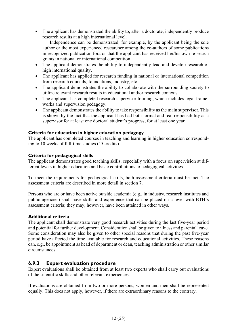• The applicant has demonstrated the ability to, after a doctorate, independently produce research results at a high international level.

Independence can be demonstrated, for example, by the applicant being the sole author or the most experienced researcher among the co-authors of some publications in recognized publication fora or that the applicant has received her/his own re-search grants in national or international competition.

- The applicant demonstrates the ability to independently lead and develop research of high international quality.
- The applicant has applied for research funding in national or international competition from research councils, foundations, industry, etc.
- The applicant demonstrates the ability to collaborate with the surrounding society to utilize relevant research results in educational and/or research contexts.
- The applicant has completed research supervisor training, which includes legal frameworks and supervision pedagogy.
- The applicant demonstrates the ability to take responsibility as the main supervisor. This is shown by the fact that the applicant has had both formal and real responsibility as a supervisor for at least one doctoral student's progress, for at least one year.

#### **Criteria for education in higher education pedagogy**

The applicant has completed courses in teaching and learning in higher education corresponding to 10 weeks of full-time studies (15 credits).

#### **Criteria for pedagogical skills**

The applicant demonstrates good teaching skills, especially with a focus on supervision at different levels in higher education and basic contributions to pedagogical activities.

To meet the requirements for pedagogical skills, both assessment criteria must be met. The assessment criteria are described in more detail in section 7.

Persons who are or have been active outside academia (e.g., in industry, research institutes and public agencies) shall have skills and experience that can be placed on a level with BTH's assessment criteria; they may, however, have been attained in other ways.

#### **Additional criteria**

The applicant shall demonstrate very good research activities during the last five-year period and potential for further development. Consideration shall be given to illness and parental leave. Some consideration may also be given to other special reasons that during the past five-year period have affected the time available for research and educational activities. These reasons can, e.g., be appointment as head of department or dean, teaching administration or other similar circumstances.

#### **6.9.3 Expert evaluation procedure**

Expert evaluations shall be obtained from at least two experts who shall carry out evaluations of the scientific skills and other relevant experiences.

If evaluations are obtained from two or more persons, women and men shall be represented equally. This does not apply, however, if there are extraordinary reasons to the contrary.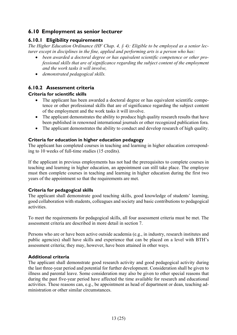#### **6.10 Employment as senior lecturer**

#### **6.10.1 Eligibility requirements**

*The Higher Education Ordinance (HF Chap. 4, § 4): Eligible to be employed as a senior lecturer except in disciplines in the fine, applied and performing arts is a person who has:* 

- *been awarded a doctoral degree or has equivalent scientific competence or other professional skills that are of significance regarding the subject content of the employment and the work tasks it will involve,*
- *demonstrated pedagogical skills.*

#### **6.10.2 Assessment criteria**

#### **Criteria for scientific skills**

- The applicant has been awarded a doctoral degree or has equivalent scientific competence or other professional skills that are of significance regarding the subject content of the employment and the work tasks it will involve.
- The applicant demonstrates the ability to produce high quality research results that have been published in renowned international journals or other recognized publication fora.
- The applicant demonstrates the ability to conduct and develop research of high quality.

#### **Criteria for education in higher education pedagogy**

The applicant has completed courses in teaching and learning in higher education corresponding to 10 weeks of full-time studies (15 credits).

If the applicant in previous employments has not had the prerequisites to complete courses in teaching and learning in higher education, an appointment can still take place. The employee must then complete courses in teaching and learning in higher education during the first two years of the appointment so that the requirements are met.

#### **Criteria for pedagogical skills**

The applicant shall demonstrate good teaching skills, good knowledge of students' learning, good collaboration with students, colleagues and society and basic contributions to pedagogical activities.

To meet the requirements for pedagogical skills, all four assessment criteria must be met. The assessment criteria are described in more detail in section 7.

Persons who are or have been active outside academia (e.g., in industry, research institutes and public agencies) shall have skills and experience that can be placed on a level with BTH's assessment criteria; they may, however, have been attained in other ways.

#### **Additional criteria**

The applicant shall demonstrate good research activity and good pedagogical activity during the last three-year period and potential for further development. Consideration shall be given to illness and parental leave. Some consideration may also be given to other special reasons that during the past five-year period have affected the time available for research and educational activities. These reasons can, e.g., be appointment as head of department or dean, teaching administration or other similar circumstances.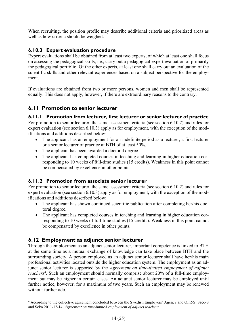When recruiting, the position profile may describe additional criteria and prioritized areas as well as how criteria should be weighed.

#### **6.10.3 Expert evaluation procedure**

Expert evaluations shall be obtained from at least two experts, of which at least one shall focus on assessing the pedagogical skills, i.e., carry out a pedagogical expert evaluation of primarily the pedagogical portfolio. Of the other experts, at least one shall carry out an evaluation of the scientific skills and other relevant experiences based on a subject perspective for the employment.

If evaluations are obtained from two or more persons, women and men shall be represented equally. This does not apply, however, if there are extraordinary reasons to the contrary.

#### **6.11 Promotion to senior lecturer**

#### **6.11.1 Promotion from lecturer, first lecturer or senior lecturer of practice**

For promotion to senior lecturer, the same assessment criteria (see section 6.10.2) and rules for expert evaluation (see section 6.10.3) apply as for employment, with the exception of the modifications and additions described below:

- The applicant has an employment for an indefinite period as a lecturer, a first lecturer or a senior lecturer of practice at BTH of at least 50%.
- The applicant has been awarded a doctoral degree.
- The applicant has completed courses in teaching and learning in higher education corresponding to 10 weeks of full-time studies (15 credits). Weakness in this point cannot be compensated by excellence in other points.

#### **6.11.2 Promotion from associate senior lecturer**

For promotion to senior lecturer, the same assessment criteria (see section 6.10.2) and rules for expert evaluation (see section 6.10.3) apply as for employment, with the exception of the modifications and additions described below:

- The applicant has shown continued scientific publication after completing her/his doctoral degree.
- The applicant has completed courses in teaching and learning in higher education corresponding to 10 weeks of full-time studies (15 credits). Weakness in this point cannot be compensated by excellence in other points.

#### **6.12 Employment as adjunct senior lecturer**

Through the employment as an adjunct senior lecturer, important competence is linked to BTH at the same time as a mutual exchange of knowledge can take place between BTH and the surrounding society. A person employed as an adjunct senior lecturer shall have her/his main professional activities located outside the higher education system. The employment as an adjunct senior lecturer is supported by the *Agreement on time-limited employment of adjunct*  teachers<sup>4</sup>. Such an employment should normally comprise about 20% of a full-time employment but may be higher in certain cases. An adjunct senior lecturer may be employed until further notice, however, for a maximum of two years. Such an employment may be renewed without further ado.

<sup>4</sup> According to the collective agreement concluded between the Swedish Employers' Agency and OFR/S, Saco-S and Seko 2011-12-14, *Agreement on time-limited employment of adjunct teachers*.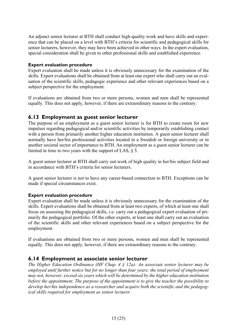An adjunct senior lecturer at BTH shall conduct high-quality work and have skills and experience that can be placed on a level with BTH's criteria for scientific and pedagogical skills for senior lecturers, however, they may have been achieved in other ways. In the expert evaluation, special consideration shall be given to other professional skills and established experience.

#### **Expert evaluation procedure**

Expert evaluation shall be made unless it is obviously unnecessary for the examination of the skills. Expert evaluations shall be obtained from at least one expert who shall carry out an evaluation of the scientific skills, pedagogic experience and other relevant experiences based on a subject perspective for the employment.

If evaluations are obtained from two or more persons, women and men shall be represented equally. This does not apply, however, if there are extraordinary reasons to the contrary.

#### **6.13 Employment as guest senior lecturer**

The purpose of an employment as a guest senior lecturer is for BTH to create room for new impulses regarding pedagogical and/or scientific activities by temporarily establishing contact with a person from primarily another higher education institution. A guest senior lecturer shall normally have her/his professional activities located in a Swedish or foreign university or in another societal sector of importance to BTH. An employment as a guest senior lecturer can be limited in time to two years with the support of LAS, § 5.

A guest senior lecturer at BTH shall carry out work of high quality in her/his subject field and in accordance with BTH's criteria for senior lecturers.

A guest senior lecturer is not to have any career-based connection to BTH. Exceptions can be made if special circumstances exist.

#### **Expert evaluation procedure**

Expert evaluation shall be made unless it is obviously unnecessary for the examination of the skills. Expert evaluations shall be obtained from at least two experts, of which at least one shall focus on assessing the pedagogical skills, i.e. carry out a pedagogical expert evaluation of primarily the pedagogical portfolio. Of the other experts, at least one shall carry out an evaluation of the scientific skills and other relevant experiences based on a subject perspective for the employment.

If evaluations are obtained from two or more persons, women and men shall be represented equally. This does not apply, however, if there are extraordinary reasons to the contrary.

#### **6.14 Employment as associate senior lecturer**

*The Higher Education Ordinance (HF Chap. 4 § 12a): An associate senior lecturer may be employed until further notice but for no longer than four years; the total period of employment may not, however, exceed six years which will be determined by the higher education institution before the appointment. The purpose of the appointment is to give the teacher the possibility to develop her/his independence as a researcher and acquire both the scientific and the pedagogical skills required for employment as senior lecturer.*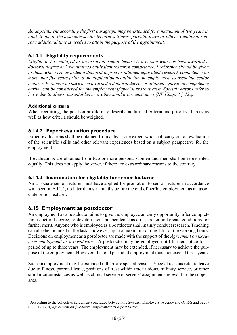*An appointment according the first paragraph may be extended for a maximum of two years in total, if due to the associate senior lecturer's illness, parental leave or other exceptional reasons additional time is needed to attain the purpose of the appointment.* 

#### **6.14.1 Eligibility requirements**

*Eligible to be employed as an associate senior lecture is a person who has been awarded a doctoral degree or have attained equivalent research competence. Preference should be given to those who were awarded a doctoral degree or attained equivalent research competence no more than five years prior to the application deadline for the employment as associate senior lecturer. Persons who have been awarded a doctoral degree or attained equivalent competence earlier can be considered for the employment if special reasons exist. Special reasons refer to leave due to illness, parental leave or other similar circumstances (HF Chap. 4 § 12a).* 

#### **Additional criteria**

When recruiting, the position profile may describe additional criteria and prioritized areas as well as how criteria should be weighed.

#### **6.14.2 Expert evaluation procedure**

Expert evaluations shall be obtained from at least one expert who shall carry out an evaluation of the scientific skills and other relevant experiences based on a subject perspective for the employment.

If evaluations are obtained from two or more persons, women and men shall be represented equally. This does not apply, however, if there are extraordinary reasons to the contrary.

#### **6.14.3 Examination for eligibility for senior lecturer**

An associate senior lecturer must have applied for promotion to senior lecturer in accordance with section 6.11.2, no later than six months before the end of her/his employment as an associate senior lecturer.

#### **6.15 Employment as postdoctor**

An employment as a postdoctor aims to give the employee an early opportunity, after completing a doctoral degree, to develop their independence as a researcher and create conditions for further merit. Anyone who is employed as a postdoctor shall mainly conduct research. Teaching can also be included in the tasks, however, up to a maximum of one-fifth of the working hours. Decisions on employment as a postdoctor are made with the support of the *Agreement on fixed*term employment as a postdoctor.<sup>5</sup> A postdoctor may be employed until further notice for a period of up to three years. The employment may be extended, if necessary to achieve the purpose of the employment. However, the total period of employment must not exceed three years.

Such an employment may be extended if there are special reasons. Special reasons refer to leave due to illness, parental leave, positions of trust within trade unions, military service, or other similar circumstances as well as clinical service or service/ assignments relevant to the subject area.

<sup>&</sup>lt;sup>5</sup> According to the collective agreement concluded between the Swedish Employers' Agency and OFR/S and Saco-S 2021-11-19, *Agreement on fixed-term employment as a postdoctor*.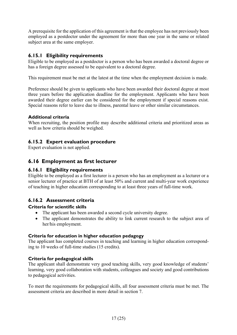A prerequisite for the application of this agreement is that the employee has not previously been employed as a postdoctor under the agreement for more than one year in the same or related subject area at the same employer.

#### **6.15.1 Eligibility requirements**

Eligible to be employed as a postdoctor is a person who has been awarded a doctoral degree or has a foreign degree assessed to be equivalent to a doctoral degree.

This requirement must be met at the latest at the time when the employment decision is made.

Preference should be given to applicants who have been awarded their doctoral degree at most three years before the application deadline for the employment. Applicants who have been awarded their degree earlier can be considered for the employment if special reasons exist. Special reasons refer to leave due to illness, parental leave or other similar circumstances.

#### **Additional criteria**

When recruiting, the position profile may describe additional criteria and prioritized areas as well as how criteria should be weighed.

#### **6.15.2 Expert evaluation procedure**

Expert evaluation is not applied.

#### **6.16 Employment as first lecturer**

#### **6.16.1 Eligibility requirements**

Eligible to be employed as a first lecturer is a person who has an employment as a lecturer or a senior lecturer of practice at BTH of at least 50% and current and multi-year work experience of teaching in higher education corresponding to at least three years of full-time work.

#### **6.16.2 Assessment criteria**

#### **Criteria for scientific skills**

- The applicant has been awarded a second cycle university degree.
- The applicant demonstrates the ability to link current research to the subject area of her/his employment.

#### **Criteria for education in higher education pedagogy**

The applicant has completed courses in teaching and learning in higher education corresponding to 10 weeks of full-time studies (15 credits).

#### **Criteria for pedagogical skills**

The applicant shall demonstrate very good teaching skills, very good knowledge of students' learning, very good collaboration with students, colleagues and society and good contributions to pedagogical activities.

To meet the requirements for pedagogical skills, all four assessment criteria must be met. The assessment criteria are described in more detail in section 7.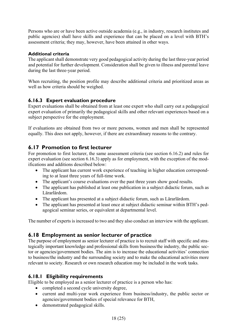Persons who are or have been active outside academia (e.g., in industry, research institutes and public agencies) shall have skills and experience that can be placed on a level with BTH's assessment criteria; they may, however, have been attained in other ways.

#### **Additional criteria**

The applicant shall demonstrate very good pedagogical activity during the last three-year period and potential for further development. Consideration shall be given to illness and parental leave during the last three-year period.

When recruiting, the position profile may describe additional criteria and prioritized areas as well as how criteria should be weighed.

#### **6.16.3 Expert evaluation procedure**

Expert evaluations shall be obtained from at least one expert who shall carry out a pedagogical expert evaluation of primarily the pedagogical skills and other relevant experiences based on a subject perspective for the employment.

If evaluations are obtained from two or more persons, women and men shall be represented equally. This does not apply, however, if there are extraordinary reasons to the contrary.

#### **6.17 Promotion to first lecturer**

For promotion to first lecturer, the same assessment criteria (see section 6.16.2) and rules for expert evaluation (see section 6.16.3) apply as for employment, with the exception of the modifications and additions described below:

- The applicant has current work experience of teaching in higher education corresponding to at least three years of full-time work.
- The applicant's course evaluations over the past three years show good results.
- The applicant has published at least one publication in a subject didactic forum, such as Lärarlärdom.
- The applicant has presented at a subject didactic forum, such as Lärarlärdom.
- The applicant has presented at least once at subject didactic seminar within BTH's pedagogical seminar series, or equivalent at departmental level.

The number of experts is increased to two and they also conduct an interview with the applicant.

#### **6.18 Employment as senior lecturer of practice**

The purpose of employment as senior lecturer of practice is to recruit staff with specific and strategically important knowledge and professional skills from business/the industry, the public sector or agencies/government bodies. The aim is to increase the educational activities' connection to business/the industry and the surrounding society and to make the educational activities more relevant to society. Research or own research education may be included in the work tasks.

#### **6.18.1 Eligibility requirements**

Eligible to be employed as a senior lecturer of practice is a person who has:

- completed a second cycle university degree,
- current and multi-year work experience from business/industry, the public sector or agencies/government bodies of special relevance for BTH,
- demonstrated pedagogical skills.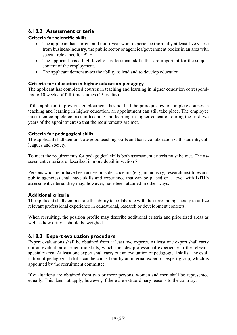#### **6.18.2 Assessment criteria**

#### **Criteria for scientific skills**

- The applicant has current and multi-year work experience (normally at least five years) from business/industry, the public sector or agencies/government bodies in an area with special relevance for BTH
- The applicant has a high level of professional skills that are important for the subject content of the employment.
- The applicant demonstrates the ability to lead and to develop education.

#### **Criteria for education in higher education pedagogy**

The applicant has completed courses in teaching and learning in higher education corresponding to 10 weeks of full-time studies (15 credits).

If the applicant in previous employments has not had the prerequisites to complete courses in teaching and learning in higher education, an appointment can still take place. The employee must then complete courses in teaching and learning in higher education during the first two years of the appointment so that the requirements are met.

#### **Criteria for pedagogical skills**

The applicant shall demonstrate good teaching skills and basic collaboration with students, colleagues and society.

To meet the requirements for pedagogical skills both assessment criteria must be met. The assessment criteria are described in more detail in section 7.

Persons who are or have been active outside academia (e.g., in industry, research institutes and public agencies) shall have skills and experience that can be placed on a level with BTH's assessment criteria; they may, however, have been attained in other ways.

#### **Additional criteria**

The applicant shall demonstrate the ability to collaborate with the surrounding society to utilize relevant professional experience in educational, research or development contexts.

When recruiting, the position profile may describe additional criteria and prioritized areas as well as how criteria should be weighed

#### **6.18.3 Expert evaluation procedure**

Expert evaluations shall be obtained from at least two experts. At least one expert shall carry out an evaluation of scientific skills, which includes professional experience in the relevant specialty area. At least one expert shall carry out an evaluation of pedagogical skills. The evaluation of pedagogical skills can be carried out by an internal expert or expert group, which is appointed by the recruitment committee.

If evaluations are obtained from two or more persons, women and men shall be represented equally. This does not apply, however, if there are extraordinary reasons to the contrary.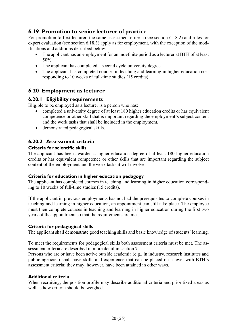#### **6.19 Promotion to senior lecturer of practice**

For promotion to first lecturer, the same assessment criteria (see section 6.18.2) and rules for expert evaluation (see section 6.18.3) apply as for employment, with the exception of the modifications and additions described below:

- The applicant has an employment for an indefinite period as a lecturer at BTH of at least 50%.
- The applicant has completed a second cycle university degree.
- The applicant has completed courses in teaching and learning in higher education corresponding to 10 weeks of full-time studies (15 credits).

#### **6.20 Employment as lecturer**

#### **6.20.1 Eligibility requirements**

Eligible to be employed as a lecturer is a person who has:

- completed a university degree of at least 180 higher education credits or has equivalent competence or other skill that is important regarding the employment's subject content and the work tasks that shall be included in the employment,
- demonstrated pedagogical skills.

#### **6.20.2 Assessment criteria**

#### **Criteria for scientific skills**

The applicant has been awarded a higher education degree of at least 180 higher education credits or has equivalent competence or other skills that are important regarding the subject content of the employment and the work tasks it will involve.

#### **Criteria for education in higher education pedagogy**

The applicant has completed courses in teaching and learning in higher education corresponding to 10 weeks of full-time studies (15 credits).

If the applicant in previous employments has not had the prerequisites to complete courses in teaching and learning in higher education, an appointment can still take place. The employee must then complete courses in teaching and learning in higher education during the first two years of the appointment so that the requirements are met.

#### **Criteria for pedagogical skills**

The applicant shall demonstrate good teaching skills and basic knowledge of students' learning.

To meet the requirements for pedagogical skills both assessment criteria must be met. The assessment criteria are described in more detail in section 7.

Persons who are or have been active outside academia (e.g., in industry, research institutes and public agencies) shall have skills and experience that can be placed on a level with BTH's assessment criteria; they may, however, have been attained in other ways.

#### **Additional criteria**

When recruiting, the position profile may describe additional criteria and prioritized areas as well as how criteria should be weighed.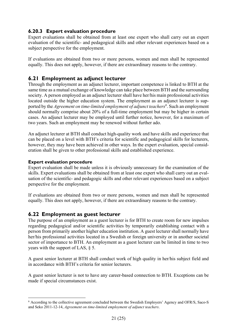#### **6.20.3 Expert evaluation procedure**

Expert evaluations shall be obtained from at least one expert who shall carry out an expert evaluation of the scientific- and pedagogical skills and other relevant experiences based on a subject perspective for the employment.

If evaluations are obtained from two or more persons, women and men shall be represented equally. This does not apply, however, if there are extraordinary reasons to the contrary.

#### **6.21 Employment as adjunct lecturer**

Through the employment as an adjunct lecturer, important competence is linked to BTH at the same time as a mutual exchange of knowledge can take place between BTH and the surrounding society. A person employed as an adjunct lecturer shall have her/his main professional activities located outside the higher education system. The employment as an adjunct lecturer is supported by the *Agreement on time-limited employment of adjunct teachers*<sup>6</sup>. Such an employment should normally comprise about 20% of a full-time employment but may be higher in certain cases. An adjunct lecturer may be employed until further notice, however, for a maximum of two years. Such an employment may be renewed without further ado.

An adjunct lecturer at BTH shall conduct high-quality work and have skills and experience that can be placed on a level with BTH's criteria for scientific and pedagogical skills for lecturers, however, they may have been achieved in other ways. In the expert evaluation, special consideration shall be given to other professional skills and established experience.

#### **Expert evaluation procedure**

Expert evaluation shall be made unless it is obviously unnecessary for the examination of the skills. Expert evaluations shall be obtained from at least one expert who shall carry out an evaluation of the scientific- and pedagogic skills and other relevant experiences based on a subject perspective for the employment.

If evaluations are obtained from two or more persons, women and men shall be represented equally. This does not apply, however, if there are extraordinary reasons to the contrary.

#### **6.22 Employment as guest lecturer**

The purpose of an employment as a guest lecturer is for BTH to create room for new impulses regarding pedagogical and/or scientific activities by temporarily establishing contact with a person from primarily another higher education institution. A guest lecturer shall normally have her/his professional activities located in a Swedish or foreign university or in another societal sector of importance to BTH. An employment as a guest lecturer can be limited in time to two years with the support of LAS, § 5.

A guest senior lecturer at BTH shall conduct work of high quality in her/his subject field and in accordance with BTH's criteria for senior lecturers.

A guest senior lecturer is not to have any career-based connection to BTH. Exceptions can be made if special circumstances exist.

<sup>6</sup> According to the collective agreement concluded between the Swedish Employers' Agency and OFR/S, Saco-S and Seko 2011-12-14, *Agreement on time-limited employment of adjunct teachers*.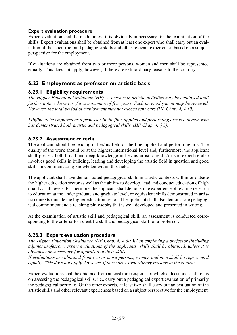#### **Expert evaluation procedure**

Expert evaluation shall be made unless it is obviously unnecessary for the examination of the skills. Expert evaluations shall be obtained from at least one expert who shall carry out an evaluation of the scientific- and pedagogic skills and other relevant experiences based on a subject perspective for the employment.

If evaluations are obtained from two or more persons, women and men shall be represented equally. This does not apply, however, if there are extraordinary reasons to the contrary.

#### **6.23 Employment as professor on artistic basis**

#### **6.23.1 Eligibility requirements**

*The Higher Education Ordinance (HF): A teacher in artistic activities may be employed until further notice, however, for a maximum of five years. Such an employment may be renewed. However, the total period of employment may not exceed ten years (HF Chap. 4, § 10).* 

*Eligible to be employed as a professor in the fine, applied and performing arts is a person who has demonstrated both artistic and pedagogical skills. (HF Chap. 4, § 3).* 

#### **6.23.2 Assessment criteria**

The applicant should be leading in her/his field of the fine, applied and performing arts. The quality of the work should be at the highest international level and, furthermore, the applicant shall possess both broad and deep knowledge in her/his artistic field. Artistic expertise also involves good skills in building, leading and developing the artistic field in question and good skills in communicating knowledge within this field.

The applicant shall have demonstrated pedagogical skills in artistic contexts within or outside the higher education sector as well as the ability to develop, lead and conduct education of high quality at all levels. Furthermore, the applicant shall demonstrate experience of relating research to education at the undergraduate and graduate level, or equivalent skills demonstrated in artistic contexts outside the higher education sector. The applicant shall also demonstrate pedagogical commitment and a teaching philosophy that is well developed and presented in writing.

At the examination of artistic skill and pedagogical skill, an assessment is conducted corresponding to the criteria for scientific skill and pedagogical skill for a professor.

#### **6.23.3 Expert evaluation procedure**

*The Higher Education Ordinance (HF Chap. 4, § 6): When employing a professor (including adjunct professor), expert evaluations of the applicants' skills shall be obtained, unless it is obviously un-necessary for appraisal of their skills.* 

*If evaluations are obtained from two or more persons, women and men shall be represented equally. This does not apply, however, if there are extraordinary reasons to the contrary.* 

Expert evaluations shall be obtained from at least three experts, of which at least one shall focus on assessing the pedagogical skills, i.e., carry out a pedagogical expert evaluation of primarily the pedagogical portfolio. Of the other experts, at least two shall carry out an evaluation of the artistic skills and other relevant experiences based on a subject perspective for the employment.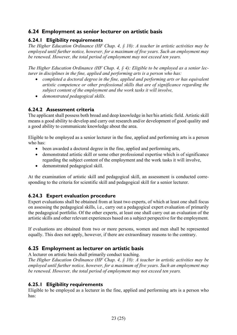#### **6.24 Employment as senior lecturer on artistic basis**

#### **6.24.1 Eligibility requirements**

*The Higher Education Ordinance (HF Chap. 4, § 10): A teacher in artistic activities may be employed until further notice, however, for a maximum of five years. Such an employment may be renewed. However, the total period of employment may not exceed ten years.* 

*The Higher Education Ordinance (HF Chap. 4, § 4): Eligible to be employed as a senior lecturer in disciplines in the fine, applied and performing arts is a person who has:* 

- *completed a doctoral degree in the fine, applied and performing arts or has equivalent artistic competence or other professional skills that are of significance regarding the subject content of the employment and the work tasks it will involve,*
- *demonstrated pedagogical skills.*

#### **6.24.2 Assessment criteria**

The applicant shall possess both broad and deep knowledge in her/his artistic field. Artistic skill means a good ability to develop and carry out research and/or development of good quality and a good ability to communicate knowledge about the area.

Eligible to be employed as a senior lecturer in the fine, applied and performing arts is a person who has:

- been awarded a doctoral degree in the fine, applied and performing arts,
- demonstrated artistic skill or some other professional expertise which is of significance regarding the subject content of the employment and the work tasks it will involve,
- demonstrated pedagogical skill.

At the examination of artistic skill and pedagogical skill, an assessment is conducted corresponding to the criteria for scientific skill and pedagogical skill for a senior lecturer.

#### **6.24.3 Expert evaluation procedure**

Expert evaluations shall be obtained from at least two experts, of which at least one shall focus on assessing the pedagogical skills, i.e., carry out a pedagogical expert evaluation of primarily the pedagogical portfolio. Of the other experts, at least one shall carry out an evaluation of the artistic skills and other relevant experiences based on a subject perspective for the employment.

If evaluations are obtained from two or more persons, women and men shall be represented equally. This does not apply, however, if there are extraordinary reasons to the contrary.

#### **6.25 Employment as lecturer on artistic basis**

A lecturer on artistic basis shall primarily conduct teaching.

*The Higher Education Ordinance (HF Chap. 4, § 10): A teacher in artistic activities may be employed until further notice, however, for a maximum of five years. Such an employment may be renewed. However, the total period of employment may not exceed ten years.* 

#### **6.25.1 Eligibility requirements**

Eligible to be employed as a lecturer in the fine, applied and performing arts is a person who has: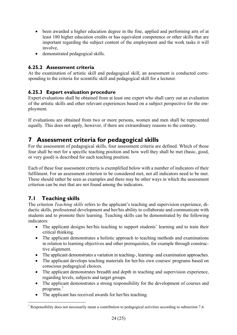- been awarded a higher education degree in the fine, applied and performing arts of at least 180 higher education credits or has equivalent competence or other skills that are important regarding the subject content of the employment and the work tasks it will involve,
- demonstrated pedagogical skills.

#### **6.25.2 Assessment criteria**

At the examination of artistic skill and pedagogical skill, an assessment is conducted corresponding to the criteria for scientific skill and pedagogical skill for a lecturer.

#### **6.25.3 Expert evaluation procedure**

Expert evaluations shall be obtained from at least one expert who shall carry out an evaluation of the artistic skills and other relevant experiences based on a subject perspective for the employment.

If evaluations are obtained from two or more persons, women and men shall be represented equally. This does not apply, however, if there are extraordinary reasons to the contrary.

### **7 Assessment criteria for pedagogical skills**

For the assessment of pedagogical skills, four assessment criteria are defined. Which of those four shall be met for a specific teaching position and how well they shall be met (basic, good, or very good) is described for each teaching position.

Each of these four assessment criteria is exemplified below with a number of indicators of their fulfilment. For an assessment criterion to be considered met, not all indicators need to be met. These should rather be seen as examples and there may be other ways in which the assessment criterion can be met that are not found among the indicators.

### **7.1 Teaching skills**

The criterion *Teaching skills* refers to the applicant's teaching and supervision experience, didactic skills, professional development and her/his ability to collaborate and communicate with students and to promote their learning. Teaching skills can be demonstrated by the following indicators:

- The applicant designs her/his teaching to support students' learning and to train their critical thinking.
- The applicant demonstrates a holistic approach to teaching methods and examinations in relation to learning objectives and other prerequisites, for example through constructive alignment.
- The applicant demonstrates a variation in teaching-, learning- and examination approaches.
- The applicant develops teaching materials for her/his own courses/ programs based on conscious pedagogical choices.
- The applicant demonstrates breadth and depth in teaching and supervision experience, regarding levels, subjects and target groups.
- The applicant demonstrates a strong responsibility for the development of courses and programs.7
- The applicant has received awards for her/his teaching.

<sup>&</sup>lt;sup>7</sup> Responsibility does not necessarily mean a contribution to pedagogical activities according to subsection 7.4.